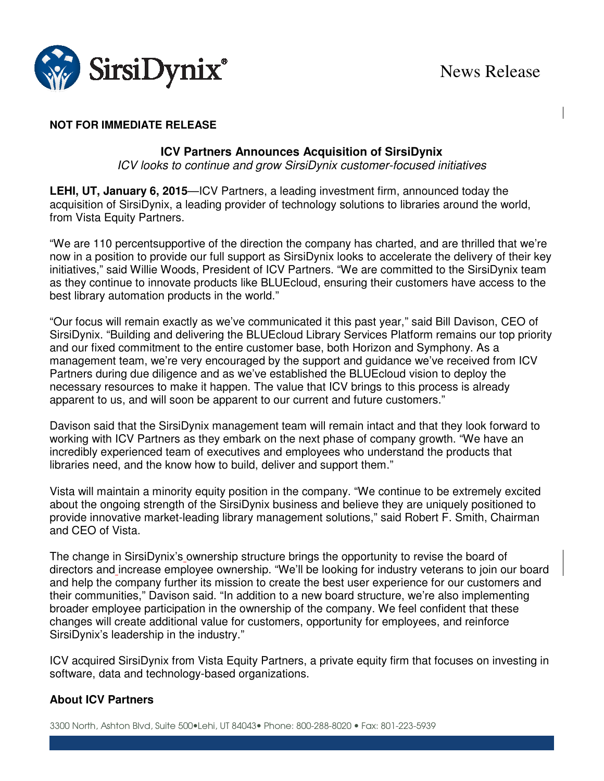

# **NOT FOR IMMEDIATE RELEASE**

## **ICV Partners Announces Acquisition of SirsiDynix**

ICV looks to continue and grow SirsiDynix customer-focused initiatives

**LEHI, UT, January 6, 2015**—ICV Partners, a leading investment firm, announced today the acquisition of SirsiDynix, a leading provider of technology solutions to libraries around the world, from Vista Equity Partners.

"We are 110 percentsupportive of the direction the company has charted, and are thrilled that we're now in a position to provide our full support as SirsiDynix looks to accelerate the delivery of their key initiatives," said Willie Woods, President of ICV Partners. "We are committed to the SirsiDynix team as they continue to innovate products like BLUEcloud, ensuring their customers have access to the best library automation products in the world."

"Our focus will remain exactly as we've communicated it this past year," said Bill Davison, CEO of SirsiDynix. "Building and delivering the BLUEcloud Library Services Platform remains our top priority and our fixed commitment to the entire customer base, both Horizon and Symphony. As a management team, we're very encouraged by the support and guidance we've received from ICV Partners during due diligence and as we've established the BLUEcloud vision to deploy the necessary resources to make it happen. The value that ICV brings to this process is already apparent to us, and will soon be apparent to our current and future customers."

Davison said that the SirsiDynix management team will remain intact and that they look forward to working with ICV Partners as they embark on the next phase of company growth. "We have an incredibly experienced team of executives and employees who understand the products that libraries need, and the know how to build, deliver and support them."

Vista will maintain a minority equity position in the company. "We continue to be extremely excited about the ongoing strength of the SirsiDynix business and believe they are uniquely positioned to provide innovative market-leading library management solutions," said Robert F. Smith, Chairman and CEO of Vista.

The change in SirsiDynix's ownership structure brings the opportunity to revise the board of directors and increase employee ownership. "We'll be looking for industry veterans to join our board and help the company further its mission to create the best user experience for our customers and their communities," Davison said. "In addition to a new board structure, we're also implementing broader employee participation in the ownership of the company. We feel confident that these changes will create additional value for customers, opportunity for employees, and reinforce SirsiDynix's leadership in the industry."

ICV acquired SirsiDynix from Vista Equity Partners, a private equity firm that focuses on investing in software, data and technology-based organizations.

### **About ICV Partners**

3300 North, Ashton Blvd, Suite 500. Lehi, UT 84043. Phone: 800-288-8020 . Fax: 801-223-5939